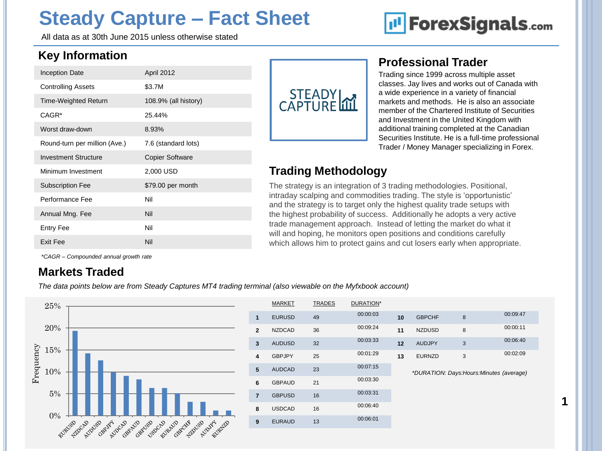# **Steady Capture – Fact Sheet**

All data as at 30th June 2015 unless otherwise stated

# **III** ForexSignals.com

### **Key Information**

| \$3.7M<br><b>Controlling Assets</b><br><b>Time-Weighted Return</b><br>108.9% (all history)<br>CAGR <sup>*</sup><br>25.44%<br>Worst draw-down<br>8.93%<br>Round-turn per million (Ave.)<br>7.6 (standard lots) |
|---------------------------------------------------------------------------------------------------------------------------------------------------------------------------------------------------------------|
|                                                                                                                                                                                                               |
|                                                                                                                                                                                                               |
|                                                                                                                                                                                                               |
|                                                                                                                                                                                                               |
|                                                                                                                                                                                                               |
| <b>Investment Structure</b><br><b>Copier Software</b>                                                                                                                                                         |
| Minimum Investment<br>2,000 USD                                                                                                                                                                               |
| \$79.00 per month<br><b>Subscription Fee</b>                                                                                                                                                                  |
| Performance Fee<br>Nil                                                                                                                                                                                        |
| Nil<br>Annual Mng. Fee                                                                                                                                                                                        |
| Nil<br>Entry Fee                                                                                                                                                                                              |
| Exit Fee<br>Nil                                                                                                                                                                                               |



#### **Professional Trader**

Trading since 1999 across multiple asset classes. Jay lives and works out of Canada with a wide experience in a variety of financial markets and methods. He is also an associate member of the Chartered Institute of Securities and Investment in the United Kingdom with additional training completed at the Canadian Securities Institute. He is a full-time professional Trader / Money Manager specializing in Forex.

**1**

### **Trading Methodology**

The strategy is an integration of 3 trading methodologies. Positional, intraday scalping and commodities trading. The style is "opportunistic" and the strategy is to target only the highest quality trade setups with the highest probability of success. Additionally he adopts a very active trade management approach. Instead of letting the market do what it will and hoping, he monitors open positions and conditions carefully which allows him to protect gains and cut losers early when appropriate.

*\*CAGR – Compounded annual growth rate*

#### **Markets Traded**

*The data points below are from Steady Captures MT4 trading terminal (also viewable on the Myfxbook account)*



|                         | <b>MARKET</b> | <b>TRADES</b> | DURATION* |    |               |                                           |          |  |  |  |
|-------------------------|---------------|---------------|-----------|----|---------------|-------------------------------------------|----------|--|--|--|
| 1                       | <b>EURUSD</b> | 49            | 00:00:03  | 10 | <b>GBPCHF</b> | 8                                         | 00:09:47 |  |  |  |
| $\overline{2}$          | <b>NZDCAD</b> | 36            | 00:09:24  | 11 | <b>NZDUSD</b> | 8                                         | 00:00:11 |  |  |  |
| 3                       | <b>AUDUSD</b> | 32            | 00:03:33  | 12 | <b>AUDJPY</b> | 3                                         | 00:06:40 |  |  |  |
| $\overline{\mathbf{4}}$ | <b>GBPJPY</b> | 25            | 00:01:29  | 13 | <b>EURNZD</b> | 3                                         | 00:02:09 |  |  |  |
| 5                       | <b>AUDCAD</b> | 23            | 00:07:15  |    |               | *DURATION: Days: Hours: Minutes (average) |          |  |  |  |
| 6                       | <b>GBPAUD</b> | 21            | 00:03:30  |    |               |                                           |          |  |  |  |
| $\overline{7}$          | <b>GBPUSD</b> | 16            | 00:03:31  |    |               |                                           |          |  |  |  |
| 8                       | <b>USDCAD</b> | 16            | 00:06:40  |    |               |                                           |          |  |  |  |
| 9                       | <b>EURAUD</b> | 13            | 00:06:01  |    |               |                                           |          |  |  |  |
|                         |               |               |           |    |               |                                           |          |  |  |  |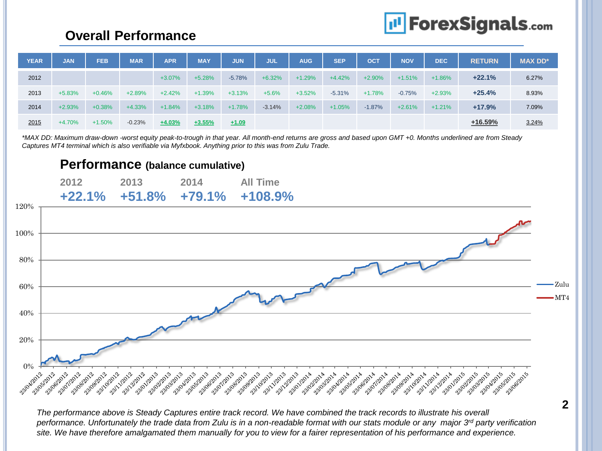# **I'l ForexSignals.com**

## **Overall Performance**

| <b>YEAR</b> | <b>JAN</b> | <b>FEB</b> | <b>MAR</b> | <b>APR</b> | <b>MAY</b> | <b>JUN</b> | <b>JUL</b> | <b>AUG</b> | <b>SEP</b> | <b>OCT</b> | <b>NOV</b> | <b>DEC</b> | <b>RETURN</b> | <b>MAX DD*</b> |
|-------------|------------|------------|------------|------------|------------|------------|------------|------------|------------|------------|------------|------------|---------------|----------------|
| 2012        |            |            |            | $+3.07%$   | $+5.28%$   | $-5.78%$   | $+6.32%$   | $+1.29%$   | $+4.42%$   | $+2.90%$   | $+1.51%$   | $+1.86%$   | $+22.1%$      | 6.27%          |
| 2013        | $+5.83%$   | $+0.46%$   | $+2.89%$   | $+2.42%$   | $+1.39%$   | $+3.13%$   | $+5.6%$    | $+3.52%$   | $-5.31%$   | $+1.78%$   | $-0.75%$   | $+2.93%$   | $+25.4%$      | 8.93%          |
| 2014        | $+2.93%$   | $+0.38%$   | $+4.33%$   | $+1.84%$   | $+3.18%$   | $+1.78%$   | $-3.14%$   | $+2.08%$   | $+1.05%$   | $-1.87%$   | $+2.61%$   | $+1.21%$   | $+17.9%$      | 7.09%          |
| 2015        | $+4.70%$   | $+1.50%$   | $-0.23%$   | $+4.03%$   | $+3.55%$   | $+1.09$    |            |            |            |            |            |            | $+16.59%$     | 3.24%          |

*\*MAX DD: Maximum draw-down -worst equity peak-to-trough in that year. All month-end returns are gross and based upon GMT +0. Months underlined are from Steady Captures MT4 terminal which is also verifiable via Myfxbook. Anything prior to this was from Zulu Trade.* 



*The performance above is Steady Captures entire track record. We have combined the track records to illustrate his overall performance. Unfortunately the trade data from Zulu is in a non-readable format with our stats module or any major 3rd party verification site. We have therefore amalgamated them manually for you to view for a fairer representation of his performance and experience.*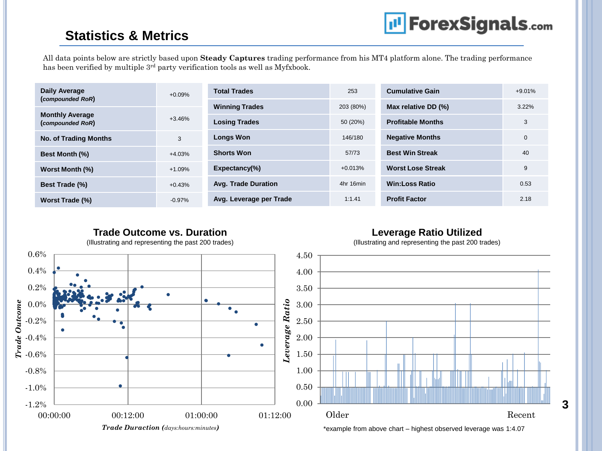# **III** ForexSignals.com

### **Statistics & Metrics**

All data points below are strictly based upon **Steady Captures** trading performance from his MT4 platform alone. The trading performance has been verified by multiple 3<sup>rd</sup> party verification tools as well as Myfxbook.

| Daily Average<br>(compounded RoR)          | $+0.09%$ | <b>Total Trades</b>        | 253       | <b>Cumulative Gain</b>   | $+9.01%$ |
|--------------------------------------------|----------|----------------------------|-----------|--------------------------|----------|
|                                            |          | <b>Winning Trades</b>      | 203 (80%) | Max relative DD (%)      | $3.22\%$ |
| <b>Monthly Average</b><br>(compounded RoR) | $+3.46%$ | <b>Losing Trades</b>       | 50 (20%)  | <b>Profitable Months</b> | 3        |
| <b>No. of Trading Months</b>               | 3        | <b>Longs Won</b>           | 146/180   | <b>Negative Months</b>   | 0        |
| <b>Best Month (%)</b>                      | $+4.03%$ | <b>Shorts Won</b>          | 57/73     | <b>Best Win Streak</b>   | 40       |
| Worst Month (%)                            | $+1.09%$ | $Expectancy(\% )$          | $+0.013%$ | <b>Worst Lose Streak</b> | 9        |
| Best Trade (%)                             | $+0.43%$ | <b>Avg. Trade Duration</b> | 4hr 16min | <b>Win:Loss Ratio</b>    | 0.53     |
| Worst Trade (%)                            | $-0.97%$ | Avg. Leverage per Trade    | 1:1.41    | <b>Profit Factor</b>     | 2.18     |

#### **Trade Outcome vs. Duration Leverage Ratio Utilized** (Illustrating and representing the past 200 trades) (Illustrating and representing the past 200 trades) 0.6% 4.50 0.4% 4.00 0.2% 3.50 Leverage Ratio *Trade Outcome Leverage Ratio*3.00 0.0% ۰ 2.50 -0.2%  $\bullet$ 2.00 -0.4% ٠ 1.50 -0.6% -0.8% 1.00 -1.0% 0.50 0.00 -1.2% Older Recent 00:00:00 00:12:00 00:12:00 01:00:00 01:12:00 *Trade Duraction (days:hours:minutes)*

\*example from above chart – highest observed leverage was 1:4.07

**3**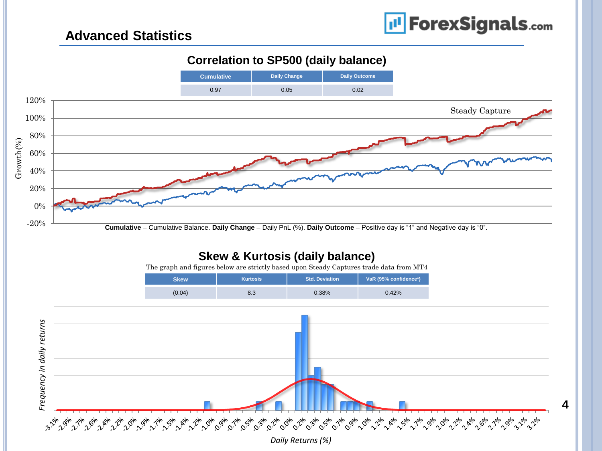**4**

### **Advanced Statistics**

#### **Correlation to SP500 (daily balance)**



*Daily Returns (%)*